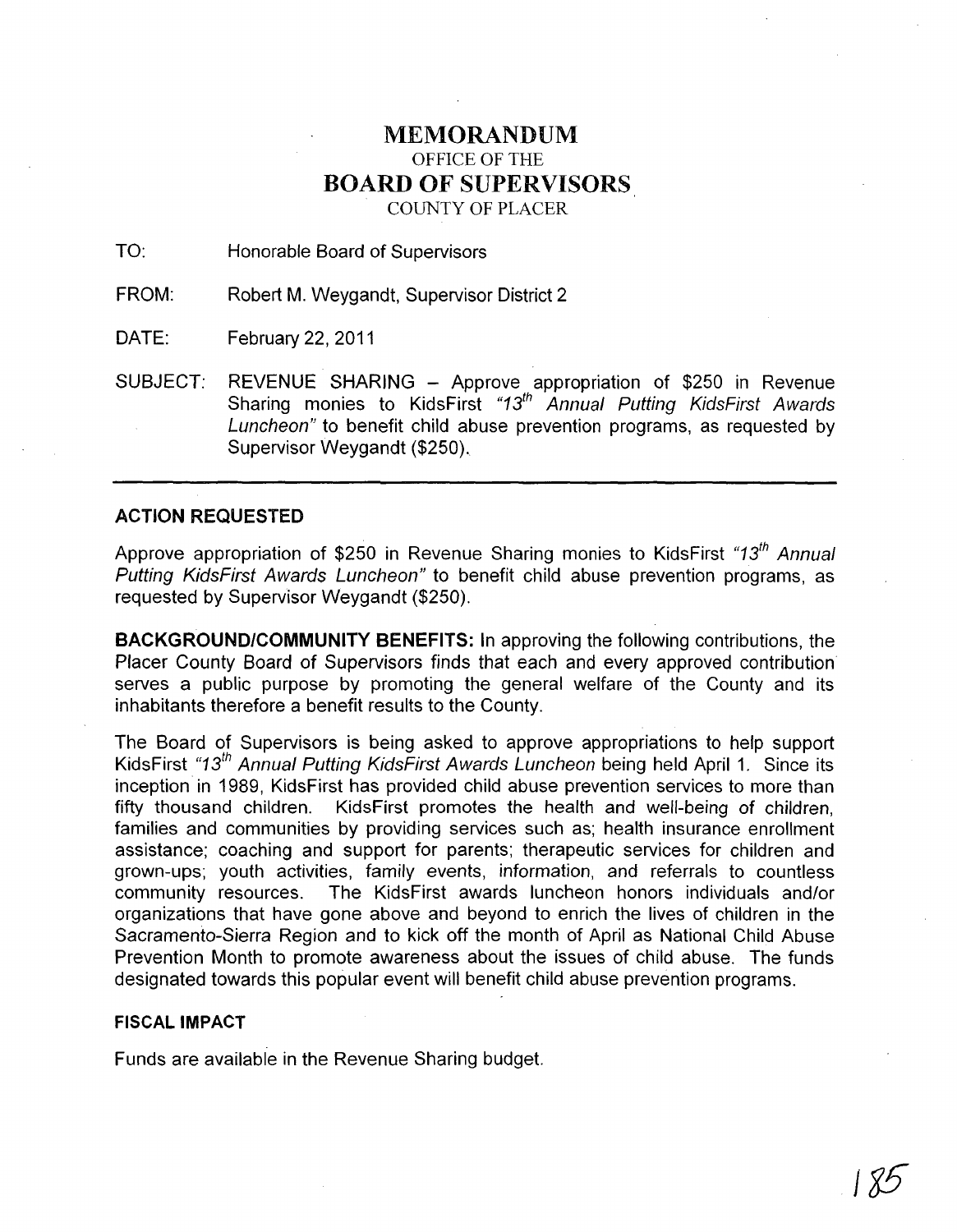## MEMORANDUM OFFICE OF THE **BOARD OF** SUPERVISORS COUNTY OF PLACER

TO: Honorable Board of Supervisors

FROM: Robert M. Weygandt, Supervisor District 2

DATE: February 22, 2011

SUBJECT: REVENUE SHARING - Approve appropriation of \$250 in Revenue Sharing monies to KidsFirst "13<sup>th</sup> Annual Putting KidsFirst Awards Luncheon" to benefit child abuse prevention programs, as requested by Supervisor Weygandt (\$250).

## **ACTION REQUESTED**

Approve appropriation of \$250 in Revenue Sharing monies to KidsFirst "13<sup>th</sup> Annual Putting KidsFirst Awards Luncheon" to benefit child abuse prevention programs, as requested by Supervisor Weygandt (\$250).

**BACKGROUND/COMMUNITY BENEFITS:** In approving the following contributions, the Placer County Board of Supervisors finds that each and every approved contribution serves a public purpose by promoting the general welfare of the County and its inhabitants therefore a benefit results to the County.

The Board of Supervisors is being asked to approve appropriations to help support KidsFirst "13<sup>th</sup> Annual Putting KidsFirst Awards Luncheon being held April 1. Since its inception in 1989, KidsFirst has provided child abuse prevention services to more than fifty thousand children. KidsFirst promotes the health and well-being of children, families and communities by providing services such as; health insurance enrollment assistance; coaching and support for parents; therapeutic services for children and grown-ups; youth activities, family events, information, and referrals to countless community resources. The KidsFirst awards luncheon honors individuals and/or organizations that have gone above and beyond to enrich the lives of children in the Sacramento-Sierra Region and to kick off the month of April as National Child Abuse Prevention Month to promote awareness about the issues of child abuse. The funds designated towards this popular event will benefit child abuse prevention programs.

## **FISCAL IMPACT**

Funds are available in the Revenue Sharing budget.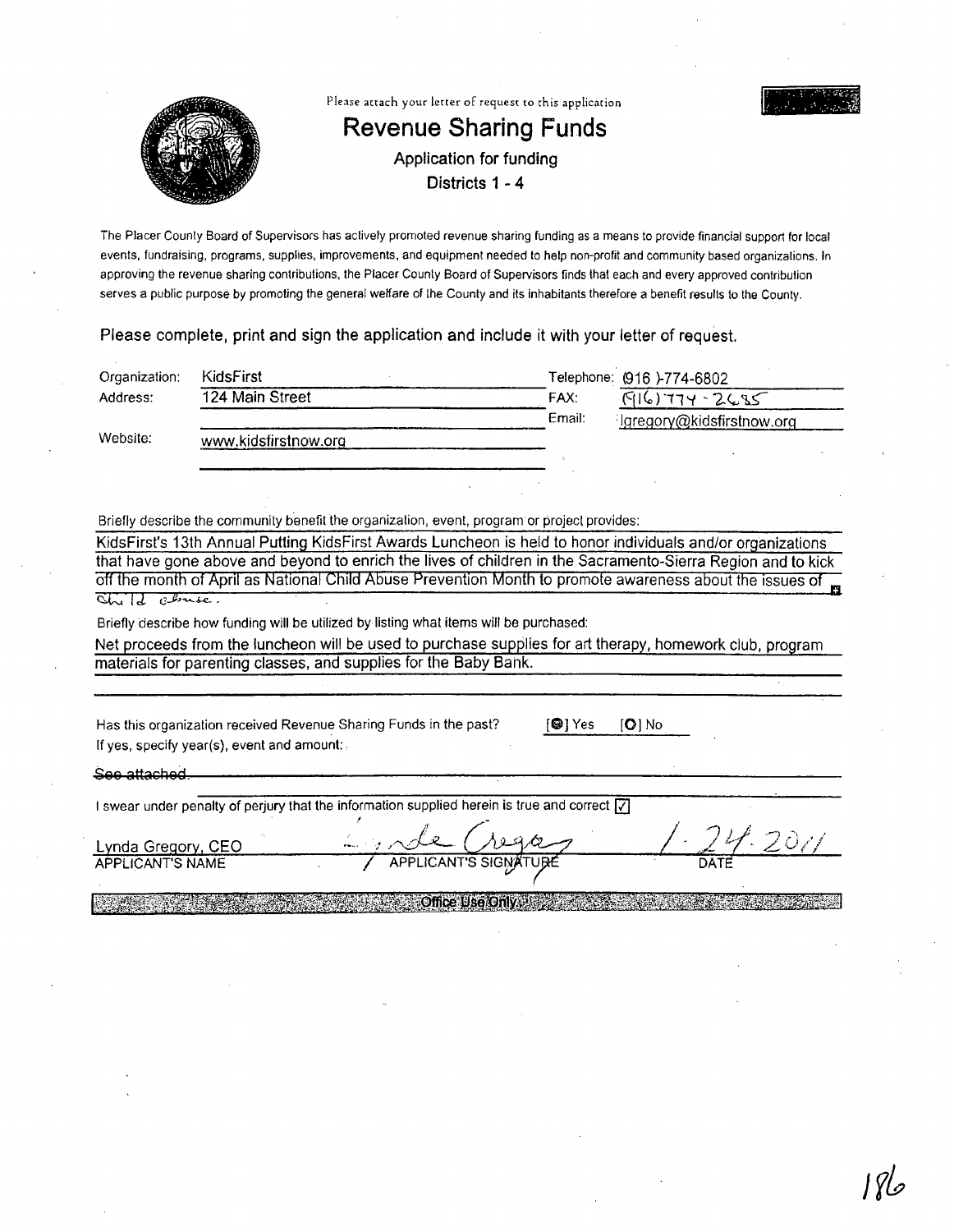

The Placer County Board of Supervisors has actively promoted revenue sharing funding as a means to provide financial support for local events, fundraising, programs, supplies, improvements, and equipment needed to help non-profit and community based organizations. In approving the revenue sharing contributions, the Placer County Board of Supervisors finds that each and every approved contribution serves a public purpose by promoting the general welfare of the County and its inhabitants therefore a benefit resulls to the County.

Please complete, print and sign the application and include it with your letter of request.

| Organization: | <b>KidsFirst</b>     |        | Telephone: (916 )-774-6802 |  |
|---------------|----------------------|--------|----------------------------|--|
| Address:      | 124 Main Street      | FAX:   | $(916)774 - 2685$          |  |
|               |                      | Email: | lgregory@kidsfirstnow.org  |  |
| Website:      | www.kidsfirstnow.org |        |                            |  |
|               |                      |        |                            |  |
|               |                      |        |                            |  |

Briefly describe the community benefit the organization, event, program or project provides:

KidsFirst's 13th Annual Putting KidsFirst Awards Luncheon is held to honor individuals and/or organizations that have gone above and beyond to enrich the lives of children in the Sacramento-Sierra Region and to kick off the month of April as National Child Abuse Prevention Month to promote awareness about the Issues of **D**   $\overline{C}$  *Chuse* 

Briefly describe how funding will be utilized by listing what items will be purchased:

Net proceeds from the luncheon will be used to purchase supplies for art therapy, homework club, program materials for parenting classes, and supplies for the Baby Bank.

Has this organization received Revenue Sharing Funds in the past? If yes, specify year(s), event and amount:.

[GljYes [0] No

See attached.

I swear under penalty of perjury that the information supplied herein is true and correct  $\overline{V}$ 

Lynda Gregory, CEO **APPLICANT'S NAME** 

n de Grego

 $^{6}$ . 2011

**Office Use Only all property**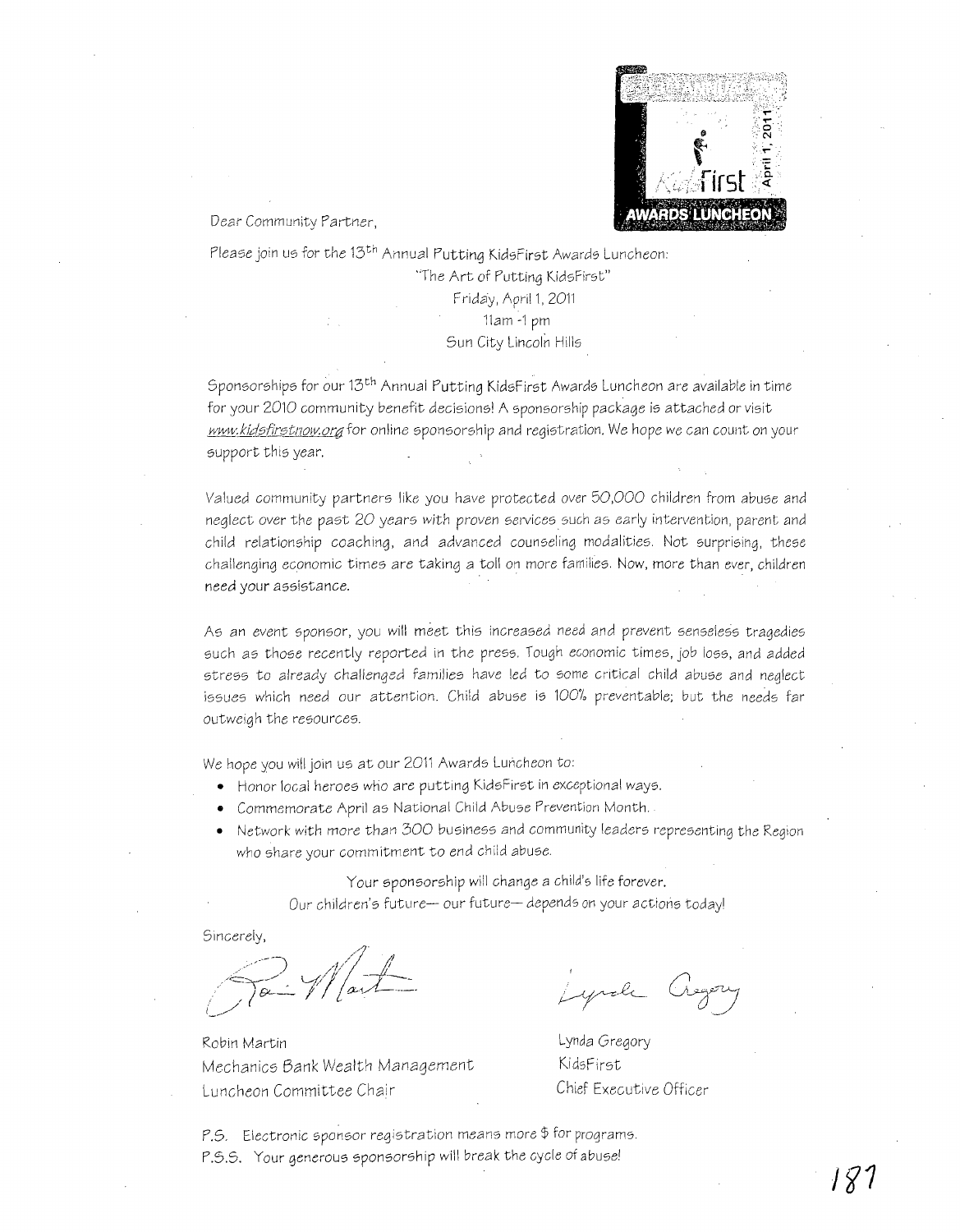

Dear Community Partner,

Please join us for the 13<sup>th</sup> Annual Putting KidsFirst Awards Luncheon: 'The Art of Putting KidsFirst" Friday, April 1, 2011 11am -1 pm Sun City Lincoln Hills

Sponsorships for our 13th Annual Putting KidsFirst Awards Luncheon are available in time for your 2010 community benefit decisions! A sponsorship package is attached or visit www.kidsfirstnow.org for online sponsorship and registration. We hope we can count on your support this year.

Valued community partners like you have protected over 50,000 children from abuse and neglect over the past 20 years with proven services such as early intervention, parent and child relationship coaching, and advanced counseling modalities. Not surprising, these challenging economic times are taking a toll on more families. Now, more than ever, children need your assistance.

As an event sponsor, you will meet this increased need and prevent senseless tragedies such as those recently reported in the press. Tough economic times, job loss, and added stress to already challenged families have led to some Critical child abuse and neglect issues which need our attention. Child abuse is 100% preventable; but the needs far outweigh the resources.

We hope you will join us at our 2011 Awards Luncheon to:

- Honor local heroes who are putting KidsFirst in exceptional ways.
- Commemorate April as National Child Abuse Prevention Month.
- Network with *more than 300 business and community leaders representing the Region* who share your commitment to end child abuse.

Your sponsorship will change a child's life forever. Our children's future- our future- depends on your actions today!

Sincerely,

Robin Martin Mechanics Bank Wealth Management Luncheon Committee Chair

yrole

Lynda Gregory KidsFirst Chief Executive Officer

 $P.S.$  Electronic sponsor registration means more  $\oint$  for programs. P.S.S. Your generous sponsorship will break the cycle of abuse!